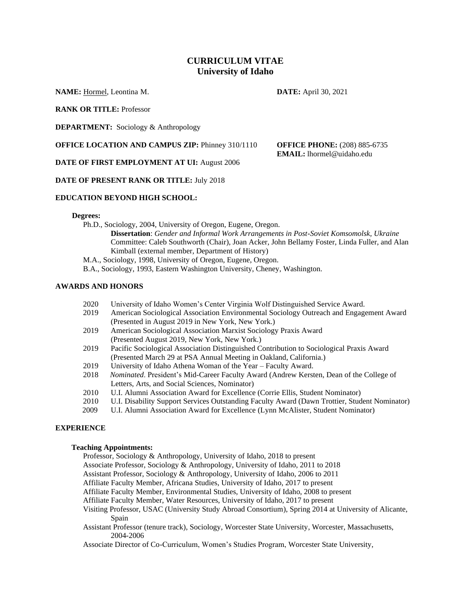# **CURRICULUM VITAE University of Idaho**

**NAME:** Hormel, Leontina M. **DATE:** April 30, 2021

**EMAIL:** lhormel@uidaho.edu

**RANK OR TITLE:** Professor

**DEPARTMENT:** Sociology & Anthropology

**OFFICE LOCATION AND CAMPUS ZIP:** Phinney 310/1110 **OFFICE PHONE:** (208) 885-6735

**DATE OF FIRST EMPLOYMENT AT UI:** August 2006

**DATE OF PRESENT RANK OR TITLE:** July 2018

# **EDUCATION BEYOND HIGH SCHOOL:**

## **Degrees:**

- Ph.D., Sociology, 2004, University of Oregon, Eugene, Oregon.
	- **Dissertation**: *Gender and Informal Work Arrangements in Post-Soviet Komsomolsk, Ukraine* Committee: Caleb Southworth (Chair), Joan Acker, John Bellamy Foster, Linda Fuller, and Alan Kimball (external member, Department of History)
- M.A., Sociology, 1998, University of Oregon, Eugene, Oregon.
- B.A., Sociology, 1993, Eastern Washington University, Cheney, Washington.

## **AWARDS AND HONORS**

- 2020 University of Idaho Women's Center Virginia Wolf Distinguished Service Award.
- 2019 American Sociological Association Environmental Sociology Outreach and Engagement Award (Presented in August 2019 in New York, New York.)
- 2019 American Sociological Association Marxist Sociology Praxis Award (Presented August 2019, New York, New York.)
- 2019 Pacific Sociological Association Distinguished Contribution to Sociological Praxis Award (Presented March 29 at PSA Annual Meeting in Oakland, California.)
- 2019 University of Idaho Athena Woman of the Year Faculty Award.
- 2018 *Nominated*. President's Mid-Career Faculty Award (Andrew Kersten, Dean of the College of Letters, Arts, and Social Sciences, Nominator)
- 2010 U.I. Alumni Association Award for Excellence (Corrie Ellis, Student Nominator)
- 2010 U.I. Disability Support Services Outstanding Faculty Award (Dawn Trottier, Student Nominator)
- 2009 U.I. Alumni Association Award for Excellence (Lynn McAlister, Student Nominator)

# **EXPERIENCE**

## **Teaching Appointments:**

Professor, Sociology & Anthropology, University of Idaho, 2018 to present

- Associate Professor, Sociology & Anthropology, University of Idaho, 2011 to 2018
- Assistant Professor, Sociology & Anthropology, University of Idaho, 2006 to 2011
- Affiliate Faculty Member, Africana Studies, University of Idaho, 2017 to present
- Affiliate Faculty Member, Environmental Studies, University of Idaho, 2008 to present
- Affiliate Faculty Member, Water Resources, University of Idaho, 2017 to present
- Visiting Professor, USAC (University Study Abroad Consortium), Spring 2014 at University of Alicante, Spain
- Assistant Professor (tenure track), Sociology, Worcester State University, Worcester, Massachusetts, 2004-2006

Associate Director of Co-Curriculum, Women's Studies Program, Worcester State University,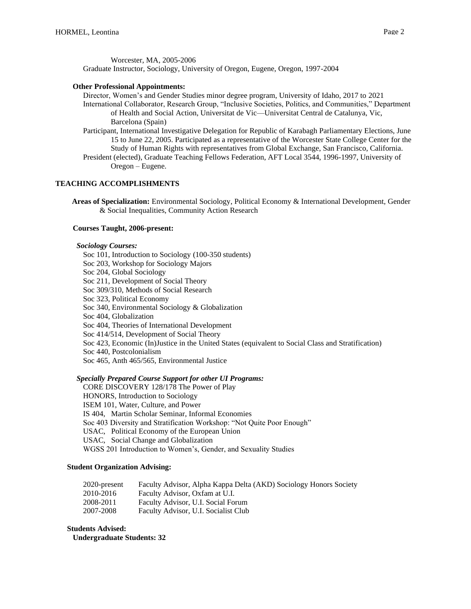Worcester, MA, 2005-2006 Graduate Instructor, Sociology, University of Oregon, Eugene, Oregon, 1997-2004

#### **Other Professional Appointments:**

Director, Women's and Gender Studies minor degree program, University of Idaho, 2017 to 2021 International Collaborator, Research Group, "Inclusive Societies, Politics, and Communities," Department of Health and Social Action, Universitat de Vic—Universitat Central de Catalunya, Vic, Barcelona (Spain)

Participant, International Investigative Delegation for Republic of Karabagh Parliamentary Elections, June 15 to June 22, 2005. Participated as a representative of the Worcester State College Center for the Study of Human Rights with representatives from Global Exchange, San Francisco, California. President (elected), Graduate Teaching Fellows Federation, AFT Local 3544, 1996-1997, University of Oregon – Eugene.

## **TEACHING ACCOMPLISHMENTS**

**Areas of Specialization:** Environmental Sociology, Political Economy & International Development, Gender & Social Inequalities, Community Action Research

# **Courses Taught, 2006-present:**

#### *Sociology Courses:*

 Soc 101, Introduction to Sociology (100-350 students) Soc 203, Workshop for Sociology Majors Soc 204, Global Sociology Soc 211, Development of Social Theory Soc 309/310, Methods of Social Research Soc 323, Political Economy Soc 340, Environmental Sociology & Globalization Soc 404, Globalization Soc 404, Theories of International Development Soc 414/514, Development of Social Theory Soc 423, Economic (In)Justice in the United States (equivalent to Social Class and Stratification) Soc 440, Postcolonialism Soc 465, Anth 465/565, Environmental Justice

#### *Specially Prepared Course Support for other UI Programs:*

CORE DISCOVERY 128/178 The Power of Play HONORS, Introduction to Sociology ISEM 101, Water, Culture, and Power IS 404, Martin Scholar Seminar, Informal Economies Soc 403 Diversity and Stratification Workshop: "Not Quite Poor Enough" USAC, Political Economy of the European Union USAC, Social Change and Globalization WGSS 201 Introduction to Women's, Gender, and Sexuality Studies

#### **Student Organization Advising:**

| 2020-present | Faculty Advisor, Alpha Kappa Delta (AKD) Sociology Honors Society |
|--------------|-------------------------------------------------------------------|
| 2010-2016    | Faculty Advisor, Oxfam at U.I.                                    |
| 2008-2011    | Faculty Advisor, U.I. Social Forum                                |
| 2007-2008    | Faculty Advisor, U.I. Socialist Club                              |

## **Students Advised:**

 **Undergraduate Students: 32**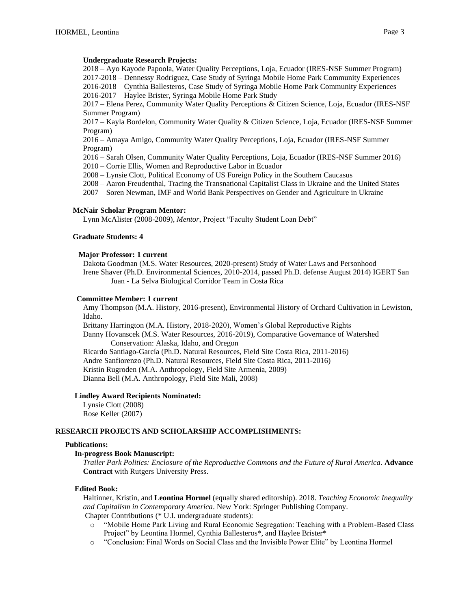# **Undergraduate Research Projects:**

2018 – Ayo Kayode Papoola, Water Quality Perceptions, Loja, Ecuador (IRES-NSF Summer Program) 2017-2018 – Dennessy Rodriguez, Case Study of Syringa Mobile Home Park Community Experiences 2016-2018 – Cynthia Ballesteros, Case Study of Syringa Mobile Home Park Community Experiences 2016-2017 – Haylee Brister, Syringa Mobile Home Park Study

2017 – Elena Perez, Community Water Quality Perceptions & Citizen Science, Loja, Ecuador (IRES-NSF Summer Program)

2017 – Kayla Bordelon, Community Water Quality & Citizen Science, Loja, Ecuador (IRES-NSF Summer Program)

2016 – Amaya Amigo, Community Water Quality Perceptions, Loja, Ecuador (IRES-NSF Summer Program)

2016 – Sarah Olsen, Community Water Quality Perceptions, Loja, Ecuador (IRES-NSF Summer 2016)

2010 – Corrie Ellis, Women and Reproductive Labor in Ecuador

2008 – Lynsie Clott, Political Economy of US Foreign Policy in the Southern Caucasus

2008 – Aaron Freudenthal, Tracing the Transnational Capitalist Class in Ukraine and the United States

2007 – Soren Newman, IMF and World Bank Perspectives on Gender and Agriculture in Ukraine

## **McNair Scholar Program Mentor:**

Lynn McAlister (2008-2009), *Mentor*, Project "Faculty Student Loan Debt"

## **Graduate Students: 4**

## **Major Professor: 1 current**

Dakota Goodman (M.S. Water Resources, 2020-present) Study of Water Laws and Personhood Irene Shaver (Ph.D. Environmental Sciences, 2010-2014, passed Ph.D. defense August 2014) IGERT San Juan - La Selva Biological Corridor Team in Costa Rica

# **Committee Member: 1 current**

Amy Thompson (M.A. History, 2016-present), Environmental History of Orchard Cultivation in Lewiston, Idaho.

Brittany Harrington (M.A. History, 2018-2020), Women's Global Reproductive Rights Danny Hovanscek (M.S. Water Resources, 2016-2019), Comparative Governance of Watershed Conservation: Alaska, Idaho, and Oregon Ricardo Santiago-García (Ph.D. Natural Resources, Field Site Costa Rica, 2011-2016) Andre Sanfiorenzo (Ph.D. Natural Resources, Field Site Costa Rica, 2011-2016) Kristin Rugroden (M.A. Anthropology, Field Site Armenia, 2009) Dianna Bell (M.A. Anthropology, Field Site Mali, 2008)

## **Lindley Award Recipients Nominated:**

Lynsie Clott (2008) Rose Keller (2007)

## **RESEARCH PROJECTS AND SCHOLARSHIP ACCOMPLISHMENTS:**

## **Publications:**

## **In-progress Book Manuscript:**

*Trailer Park Politics: Enclosure of the Reproductive Commons and the Future of Rural America.* **Advance Contract** with Rutgers University Press.

## **Edited Book:**

Haltinner, Kristin, and **Leontina Hormel** (equally shared editorship). 2018. *Teaching Economic Inequality and Capitalism in Contemporary America*. New York: Springer Publishing Company. Chapter Contributions (\* U.I. undergraduate students):

- o "Mobile Home Park Living and Rural Economic Segregation: Teaching with a Problem-Based Class Project" by Leontina Hormel, Cynthia Ballesteros\*, and Haylee Brister\*
- o "Conclusion: Final Words on Social Class and the Invisible Power Elite" by Leontina Hormel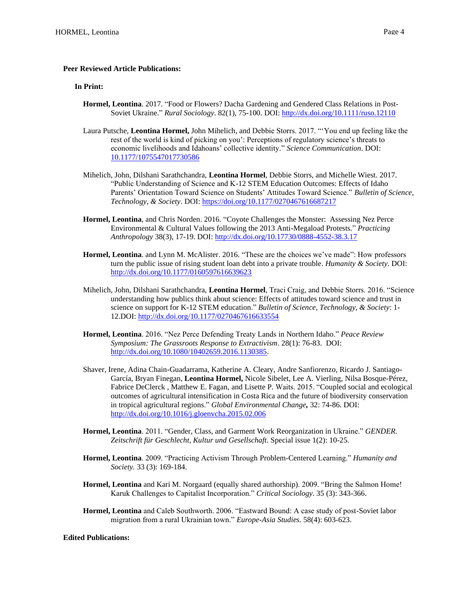## **Peer Reviewed Article Publications:**

## **In Print:**

- **Hormel, Leontina**. 2017. "Food or Flowers? Dacha Gardening and Gendered Class Relations in Post-Soviet Ukraine." *Rural Sociology*. 82(1), 75-100. DOI[: http://dx.doi.org/10.1111/ruso.12110](http://dx.doi.org/10.1111/ruso.12110)
- Laura Putsche, **Leontina Hormel,** John Mihelich, and Debbie Storrs. 2017. "'You end up feeling like the rest of the world is kind of picking on you': Perceptions of regulatory science's threats to economic livelihoods and Idahoans' collective identity." *Science Communication*. DOI: [10.1177/1075547017730586](https://doi.org/10.1177%2F1075547017730586)
- Mihelich, John, Dilshani Sarathchandra, **Leontina Hormel**, Debbie Storrs, and Michelle Wiest. 2017. "Public Understanding of Science and K-12 STEM Education Outcomes: Effects of Idaho Parents' Orientation Toward Science on Students' Attitudes Toward Science." *Bulletin of Science, Technology, & Society*. DOI: <https://doi.org/10.1177/0270467616687217>
- **Hormel, Leontina**, and Chris Norden. 2016. "Coyote Challenges the Monster: Assessing Nez Perce Environmental & Cultural Values following the 2013 Anti-Megaload Protests." *Practicing Anthropology* 38(3), 17-19. DOI[: http://dx.doi.org/10.17730/0888-4552-38.3.17](http://dx.doi.org/10.17730/0888-4552-38.3.17)
- **Hormel, Leontina**. and Lynn M. McAlister. 2016. "These are the choices we've made": How professors turn the public issue of rising student loan debt into a private trouble. *Humanity & Society*. DOI: <http://dx.doi.org/10.1177/0160597616639623>
- Mihelich, John, Dilshani Sarathchandra, **Leontina Hormel**, Traci Craig, and Debbie Storrs. 2016. "Science understanding how publics think about science: Effects of attitudes toward science and trust in science on support for K-12 STEM education." *Bulletin of Science, Technology, & Society*: 1- 12.DOI[: http://dx.doi.org/10.1177/0270467616633554](http://dx.doi.org/10.1177/0270467616633554)
- **Hormel, Leontina**. 2016. "Nez Perce Defending Treaty Lands in Northern Idaho." *Peace Review Symposium: The Grassroots Response to Extractivism*. 28(1): 76-83. DOI: [http://dx.doi.org/10.1080/10402659.2016.1130385.](http://dx.doi.org/10.1080/10402659.2016.1130385)
- Shaver, Irene, Adina Chain-Guadarrama, Katherine A. Cleary, Andre Sanfiorenzo, Ricardo J. Santiago-García, Bryan Finegan, **Leontina Hormel,** Nicole Sibelet, Lee A. Vierling, Nilsa Bosque-Pérez, Fabrice DeClerck , Matthew E. Fagan, and Lisette P. Waits. 2015. "Coupled social and ecological outcomes of agricultural intensification in Costa Rica and the future of biodiversity conservation in tropical agricultural regions." *Global Environmental Change,* 32: 74-86. DOI: <http://dx.doi.org/10.1016/j.gloenvcha.2015.02.006>
- **Hormel, Leontina**. 2011. "Gender, Class, and Garment Work Reorganization in Ukraine." *GENDER. Zeitschrift für Geschlecht, Kultur und Gesellschaft*. Special issue 1(2): 10-25.
- **Hormel, Leontina**. 2009. "Practicing Activism Through Problem-Centered Learning." *Humanity and Society.* 33 (3): 169-184.
- **Hormel, Leontina** and Kari M. Norgaard (equally shared authorship). 2009. "Bring the Salmon Home! Karuk Challenges to Capitalist Incorporation." *Critical Sociology*. 35 (3): 343-366.
- **Hormel, Leontina** and Caleb Southworth. 2006. "Eastward Bound: A case study of post-Soviet labor migration from a rural Ukrainian town." *Europe-Asia Studies.* 58(4): 603-623.

## **Edited Publications:**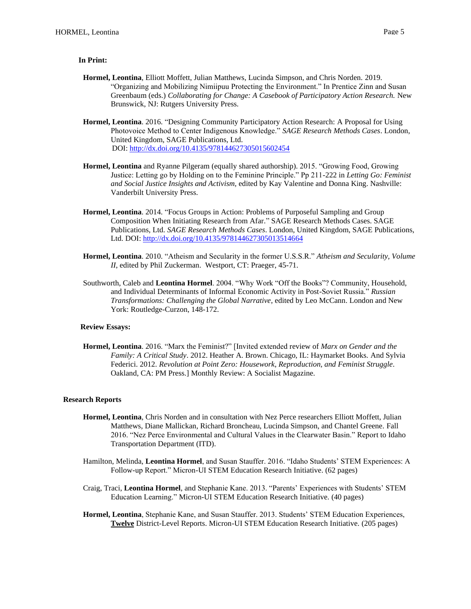## **In Print:**

- **Hormel, Leontina**, Elliott Moffett, Julian Matthews, Lucinda Simpson, and Chris Norden. 2019. "Organizing and Mobilizing Nimiipuu Protecting the Environment." In Prentice Zinn and Susan Greenbaum (eds.) *Collaborating for Change: A Casebook of Participatory Action Research.* New Brunswick, NJ: Rutgers University Press.
- **Hormel, Leontina**. 2016. "Designing Community Participatory Action Research: A Proposal for Using Photovoice Method to Center Indigenous Knowledge." *SAGE Research Methods Cases*. London, United Kingdom, SAGE Publications, Ltd. DOI[: http://dx.doi.org/10.4135/978144627305015602454](http://dx.doi.org/10.4135/978144627305015602454)
- **Hormel, Leontina** and Ryanne Pilgeram (equally shared authorship). 2015. "Growing Food, Growing Justice: Letting go by Holding on to the Feminine Principle." Pp 211-222 in *Letting Go: Feminist and Social Justice Insights and Activism,* edited by Kay Valentine and Donna King. Nashville: Vanderbilt University Press.
- **Hormel, Leontina**. 2014. "Focus Groups in Action: Problems of Purposeful Sampling and Group Composition When Initiating Research from Afar." SAGE Research Methods Cases. SAGE Publications, Ltd. *SAGE Research Methods Cases*. London, United Kingdom, SAGE Publications, Ltd. DOI:<http://dx.doi.org/10.4135/978144627305013514664>
- **Hormel, Leontina**. 2010. "Atheism and Secularity in the former U.S.S.R." *Atheism and Secularity, Volume II*, edited by Phil Zuckerman. Westport, CT: Praeger, 45-71.
- Southworth, Caleb and **Leontina Hormel**. 2004. "Why Work "Off the Books"? Community, Household, and Individual Determinants of Informal Economic Activity in Post-Soviet Russia." *Russian Transformations: Challenging the Global Narrative*, edited by Leo McCann. London and New York: Routledge-Curzon, 148-172.

## **Review Essays:**

**Hormel, Leontina**. 2016. "Marx the Feminist?" [Invited extended review of *Marx on Gender and the Family: A Critical Study*. 2012. Heather A. Brown. Chicago, IL: Haymarket Books. And Sylvia Federici. 2012. *Revolution at Point Zero: Housework, Reproduction, and Feminist Struggle*. Oakland, CA: PM Press.] Monthly Review: A Socialist Magazine.

## **Research Reports**

- **Hormel, Leontina**, Chris Norden and in consultation with Nez Perce researchers Elliott Moffett, Julian Matthews, Diane Mallickan, Richard Broncheau, Lucinda Simpson, and Chantel Greene. Fall 2016. "Nez Perce Environmental and Cultural Values in the Clearwater Basin." Report to Idaho Transportation Department (ITD).
- Hamilton, Melinda, **Leontina Hormel**, and Susan Stauffer. 2016. "Idaho Students' STEM Experiences: A Follow-up Report." Micron-UI STEM Education Research Initiative. (62 pages)
- Craig, Traci, **Leontina Hormel**, and Stephanie Kane. 2013. "Parents' Experiences with Students' STEM Education Learning." Micron-UI STEM Education Research Initiative. (40 pages)
- **Hormel, Leontina**, Stephanie Kane, and Susan Stauffer. 2013. Students' STEM Education Experiences, **Twelve** District-Level Reports. Micron-UI STEM Education Research Initiative. (205 pages)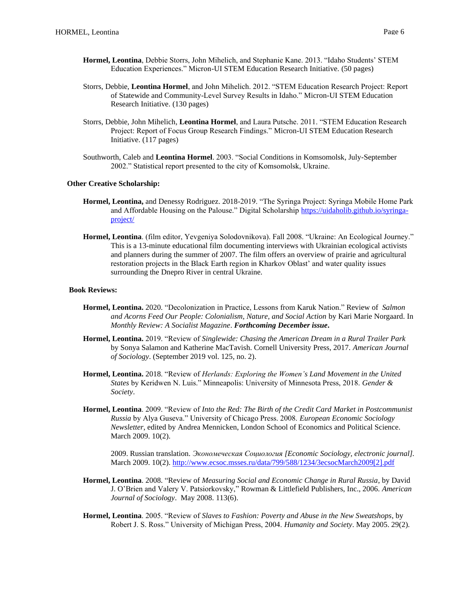- **Hormel, Leontina**, Debbie Storrs, John Mihelich, and Stephanie Kane. 2013. "Idaho Students' STEM Education Experiences." Micron-UI STEM Education Research Initiative. (50 pages)
- Storrs, Debbie, **Leontina Hormel**, and John Mihelich. 2012. "STEM Education Research Project: Report of Statewide and Community-Level Survey Results in Idaho." Micron-UI STEM Education Research Initiative. (130 pages)
- Storrs, Debbie, John Mihelich, **Leontina Hormel**, and Laura Putsche. 2011. "STEM Education Research Project: Report of Focus Group Research Findings." Micron-UI STEM Education Research Initiative. (117 pages)
- Southworth, Caleb and **Leontina Hormel**. 2003. "Social Conditions in Komsomolsk, July-September 2002." Statistical report presented to the city of Komsomolsk, Ukraine.

#### **Other Creative Scholarship:**

- **Hormel, Leontina,** and Denessy Rodriguez. 2018-2019. "The Syringa Project: Syringa Mobile Home Park and Affordable Housing on the Palouse." Digital Scholarship [https://uidaholib.github.io/syringa](https://uidaholib.github.io/syringa-project/)[project/](https://uidaholib.github.io/syringa-project/)
- **Hormel, Leontina**. (film editor, Yevgeniya Solodovnikova). Fall 2008. "Ukraine: An Ecological Journey." This is a 13-minute educational film documenting interviews with Ukrainian ecological activists and planners during the summer of 2007. The film offers an overview of prairie and agricultural restoration projects in the Black Earth region in Kharkov Oblast' and water quality issues surrounding the Dnepro River in central Ukraine.

#### **Book Reviews:**

- **Hormel, Leontina.** 2020. "Decolonization in Practice, Lessons from Karuk Nation." Review of *Salmon and Acorns Feed Our People: Colonialism, Nature, and Social Action* by Kari Marie Norgaard. In *Monthly Review: A Socialist Magazine*. *Forthcoming December issue***.**
- **Hormel, Leontina.** 2019. "Review of *Singlewide: Chasing the American Dream in a Rural Trailer Park* by Sonya Salamon and Katherine MacTavish. Cornell University Press, 2017. *American Journal of Sociology*. (September 2019 vol. 125, no. 2).
- **Hormel, Leontina.** 2018. "Review of *Herlands: Exploring the Women's Land Movement in the United States* by Keridwen N. Luis." Minneapolis: University of Minnesota Press, 2018. *Gender & Society*.
- **Hormel, Leontina**. 2009. "Review of *Into the Red: The Birth of the Credit Card Market in Postcommunist Russia* by Alya Guseva." University of Chicago Press. 2008. *European Economic Sociology Newsletter*, edited by Andrea Mennicken, London School of Economics and Political Science. March 2009. 10(2).

2009. Russian translation. *Экономеческая Социология [Economic Sociology, electronic journal].* March 2009. 10(2). [http://www.ecsoc.msses.ru/data/799/588/1234/3ecsocMarch2009\[2\].pdf](http://www.ecsoc.msses.ru/data/799/588/1234/3ecsocMarch2009%5b2%5d.pdf)

- **Hormel, Leontina**. 2008. "Review of *Measuring Social and Economic Change in Rural Russia*, by David J. O'Brien and Valery V. Patsiorkovsky," Rowman & Littlefield Publishers, Inc., 2006. *American Journal of Sociology*. May 2008. 113(6).
- **Hormel, Leontina**. 2005. "Review of *Slaves to Fashion: Poverty and Abuse in the New Sweatshops*, by Robert J. S. Ross." University of Michigan Press, 2004. *Humanity and Society*. May 2005. 29(2).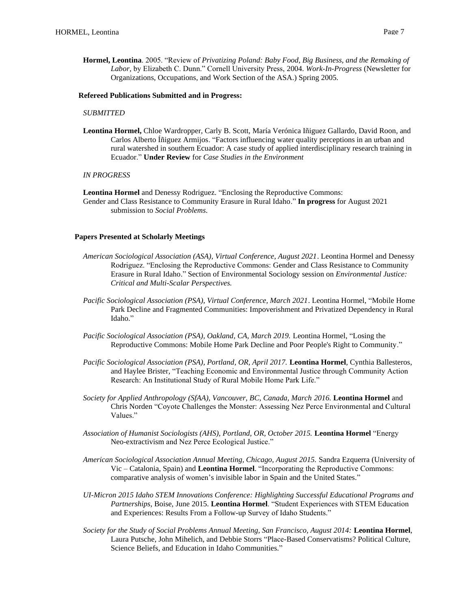**Hormel, Leontina**. 2005. "Review of *Privatizing Poland: Baby Food, Big Business, and the Remaking of Labor,* by Elizabeth C. Dunn." Cornell University Press, 2004. *Work-In-Progress* (Newsletter for Organizations, Occupations, and Work Section of the ASA.) Spring 2005.

## **Refereed Publications Submitted and in Progress:**

#### *SUBMITTED*

**Leontina Hormel,** Chloe Wardropper, Carly B. Scott, María Verónica Iñiguez Gallardo, David Roon, and Carlos Alberto Íñiguez Armijos. "Factors influencing water quality perceptions in an urban and rural watershed in southern Ecuador: A case study of applied interdisciplinary research training in Ecuador." **Under Review** for *Case Studies in the Environment*

## *IN PROGRESS*

**Leontina Hormel** and Denessy Rodriguez. "Enclosing the Reproductive Commons: Gender and Class Resistance to Community Erasure in Rural Idaho." **In progress** for August 2021 submission to *Social Problems*.

#### **Papers Presented at Scholarly Meetings**

- *American Sociological Association (ASA), Virtual Conference, August 2021*. Leontina Hormel and Denessy Rodriguez. "Enclosing the Reproductive Commons: Gender and Class Resistance to Community Erasure in Rural Idaho." Section of Environmental Sociology session on *Environmental Justice: Critical and Multi-Scalar Perspectives.*
- *Pacific Sociological Association (PSA), Virtual Conference, March 2021*. Leontina Hormel, "Mobile Home Park Decline and Fragmented Communities: Impoverishment and Privatized Dependency in Rural Idaho."
- Pacific Sociological Association (PSA), Oakland, CA, March 2019. Leontina Hormel, "Losing the Reproductive Commons: Mobile Home Park Decline and Poor People's Right to Community."
- *Pacific Sociological Association (PSA), Portland, OR, April 2017.* **Leontina Hormel**, Cynthia Ballesteros, and Haylee Brister, "Teaching Economic and Environmental Justice through Community Action Research: An Institutional Study of Rural Mobile Home Park Life."
- *Society for Applied Anthropology (SfAA), Vancouver, BC, Canada, March 2016.* **Leontina Hormel** and Chris Norden "Coyote Challenges the Monster: Assessing Nez Perce Environmental and Cultural Values."
- *Association of Humanist Sociologists (AHS), Portland, OR, October 2015.* **Leontina Hormel** "Energy Neo-extractivism and Nez Perce Ecological Justice."
- *American Sociological Association Annual Meeting, Chicago, August 2015.* Sandra Ezquerra (University of Vic – Catalonia, Spain) and **Leontina Hormel**. "Incorporating the Reproductive Commons: comparative analysis of women's invisible labor in Spain and the United States."
- *UI-Micron 2015 Idaho STEM Innovations Conference: Highlighting Successful Educational Programs and Partnerships*, Boise, June 2015. **Leontina Hormel**. "Student Experiences with STEM Education and Experiences: Results From a Follow-up Survey of Idaho Students."
- *Society for the Study of Social Problems Annual Meeting, San Francisco, August 2014:* **Leontina Hormel**, Laura Putsche, John Mihelich, and Debbie Storrs "Place-Based Conservatisms? Political Culture, Science Beliefs, and Education in Idaho Communities."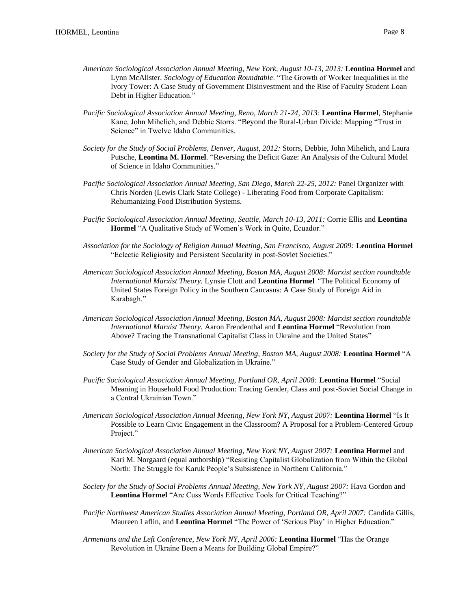- *American Sociological Association Annual Meeting, New York, August 10-13, 2013:* **Leontina Hormel** and Lynn McAlister. *Sociology of Education Roundtable*. "The Growth of Worker Inequalities in the Ivory Tower: A Case Study of Government Disinvestment and the Rise of Faculty Student Loan Debt in Higher Education."
- *Pacific Sociological Association Annual Meeting, Reno, March 21-24, 2013:* **Leontina Hormel**, Stephanie Kane, John Mihelich, and Debbie Storrs. "Beyond the Rural-Urban Divide: Mapping "Trust in Science" in Twelve Idaho Communities.
- *Society for the Study of Social Problems, Denver, August, 2012:* Storrs, Debbie, John Mihelich, and Laura Putsche, **Leontina M. Hormel**. "Reversing the Deficit Gaze: An Analysis of the Cultural Model of Science in Idaho Communities."
- Pacific Sociological Association Annual Meeting, San Diego, March 22-25, 2012: Panel Organizer with Chris Norden (Lewis Clark State College) - Liberating Food from Corporate Capitalism: Rehumanizing Food Distribution Systems.
- *Pacific Sociological Association Annual Meeting, Seattle, March 10-13, 2011:* Corrie Ellis and **Leontina Hormel** "A Qualitative Study of Women's Work in Quito, Ecuador."
- *Association for the Sociology of Religion Annual Meeting, San Francisco, August 2009:* **Leontina Hormel** "Eclectic Religiosity and Persistent Secularity in post-Soviet Societies."
- *American Sociological Association Annual Meeting, Boston MA, August 2008: Marxist section roundtable International Marxist Theory.* Lynsie Clott and **Leontina Hormel** *"*The Political Economy of United States Foreign Policy in the Southern Caucasus: A Case Study of Foreign Aid in Karabagh."
- *American Sociological Association Annual Meeting, Boston MA, August 2008: Marxist section roundtable International Marxist Theory.* Aaron Freudenthal and **Leontina Hormel** "Revolution from Above? Tracing the Transnational Capitalist Class in Ukraine and the United States"
- *Society for the Study of Social Problems Annual Meeting, Boston MA, August 2008:* **Leontina Hormel** "A Case Study of Gender and Globalization in Ukraine."
- *Pacific Sociological Association Annual Meeting, Portland OR, April 2008:* **Leontina Hormel** "Social Meaning in Household Food Production: Tracing Gender, Class and post-Soviet Social Change in a Central Ukrainian Town."
- *American Sociological Association Annual Meeting, New York NY, August 2007:* **Leontina Hormel** "Is It Possible to Learn Civic Engagement in the Classroom? A Proposal for a Problem-Centered Group Project."
- *American Sociological Association Annual Meeting, New York NY, August 2007:* **Leontina Hormel** and Kari M. Norgaard (equal authorship) "Resisting Capitalist Globalization from Within the Global North: The Struggle for Karuk People's Subsistence in Northern California."
- *Society for the Study of Social Problems Annual Meeting, New York NY, August 2007:* Hava Gordon and **Leontina Hormel** "Are Cuss Words Effective Tools for Critical Teaching?"
- Pacific Northwest American Studies Association Annual Meeting, Portland OR, April 2007: Candida Gillis, Maureen Laflin, and **Leontina Hormel** "The Power of 'Serious Play' in Higher Education."
- *Armenians and the Left Conference, New York NY, April 2006:* **Leontina Hormel** "Has the Orange Revolution in Ukraine Been a Means for Building Global Empire?"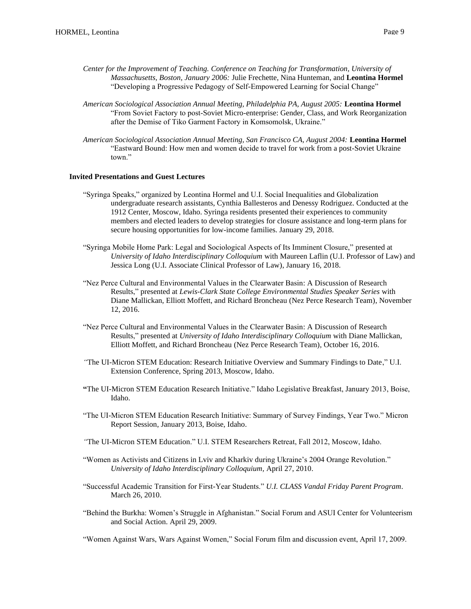- *Center for the Improvement of Teaching. Conference on Teaching for Transformation, University of Massachusetts, Boston, January 2006:* Julie Frechette, Nina Hunteman, and **Leontina Hormel** "Developing a Progressive Pedagogy of Self-Empowered Learning for Social Change"
- *American Sociological Association Annual Meeting, Philadelphia PA, August 2005:* **Leontina Hormel** "From Soviet Factory to post-Soviet Micro-enterprise: Gender, Class, and Work Reorganization after the Demise of Tiko Garment Factory in Komsomolsk, Ukraine."
- *American Sociological Association Annual Meeting, San Francisco CA, August 2004:* **Leontina Hormel** "Eastward Bound: How men and women decide to travel for work from a post-Soviet Ukraine town."

#### **Invited Presentations and Guest Lectures**

- "Syringa Speaks," organized by Leontina Hormel and U.I. Social Inequalities and Globalization undergraduate research assistants, Cynthia Ballesteros and Denessy Rodriguez. Conducted at the 1912 Center, Moscow, Idaho. Syringa residents presented their experiences to community members and elected leaders to develop strategies for closure assistance and long-term plans for secure housing opportunities for low-income families. January 29, 2018.
- "Syringa Mobile Home Park: Legal and Sociological Aspects of Its Imminent Closure," presented at *University of Idaho Interdisciplinary Colloquium* with Maureen Laflin (U.I. Professor of Law) and Jessica Long (U.I. Associate Clinical Professor of Law), January 16, 2018.
- "Nez Perce Cultural and Environmental Values in the Clearwater Basin: A Discussion of Research Results," presented at *Lewis-Clark State College Environmental Studies Speaker Series* with Diane Mallickan, Elliott Moffett, and Richard Broncheau (Nez Perce Research Team), November 12, 2016.
- "Nez Perce Cultural and Environmental Values in the Clearwater Basin: A Discussion of Research Results," presented at *University of Idaho Interdisciplinary Colloquium* with Diane Mallickan, Elliott Moffett, and Richard Broncheau (Nez Perce Research Team)*,* October 16, 2016.
- *"*The UI-Micron STEM Education: Research Initiative Overview and Summary Findings to Date," U.I. Extension Conference, Spring 2013, Moscow, Idaho.
- **"**The UI-Micron STEM Education Research Initiative." Idaho Legislative Breakfast, January 2013, Boise, Idaho.
- "The UI-Micron STEM Education Research Initiative: Summary of Survey Findings, Year Two." Micron Report Session, January 2013, Boise, Idaho.
- *"*The UI-Micron STEM Education." U.I. STEM Researchers Retreat, Fall 2012, Moscow, Idaho.
- "Women as Activists and Citizens in Lviv and Kharkiv during Ukraine's 2004 Orange Revolution." *University of Idaho Interdisciplinary Colloquium,* April 27, 2010.
- "Successful Academic Transition for First-Year Students." *U.I. CLASS Vandal Friday Parent Program*. March 26, 2010.
- "Behind the Burkha: Women's Struggle in Afghanistan." Social Forum and ASUI Center for Volunteerism and Social Action. April 29, 2009.
- "Women Against Wars, Wars Against Women," Social Forum film and discussion event, April 17, 2009.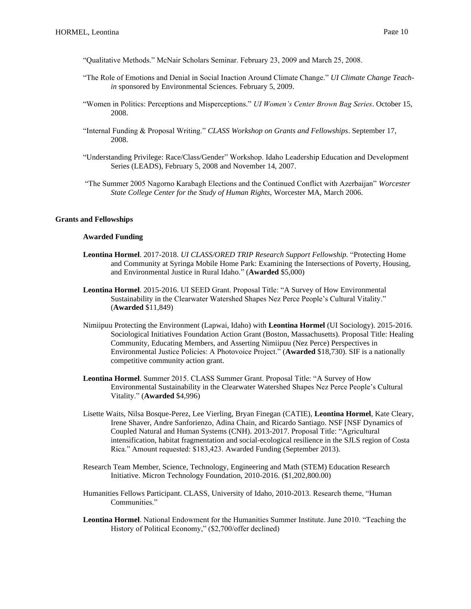- "Qualitative Methods." McNair Scholars Seminar. February 23, 2009 and March 25, 2008.
- "The Role of Emotions and Denial in Social Inaction Around Climate Change." *UI Climate Change Teachin* sponsored by Environmental Sciences. February 5, 2009.
- "Women in Politics: Perceptions and Misperceptions." *UI Women's Center Brown Bag Series*. October 15, 2008.
- "Internal Funding & Proposal Writing." *CLASS Workshop on Grants and Fellowships*. September 17, 2008.
- "Understanding Privilege: Race/Class/Gender" Workshop. Idaho Leadership Education and Development Series (LEADS), February 5, 2008 and November 14, 2007.
- "The Summer 2005 Nagorno Karabagh Elections and the Continued Conflict with Azerbaijan" *Worcester State College Center for the Study of Human Rights,* Worcester MA, March 2006*.*

# **Grants and Fellowships**

## **Awarded Funding**

- **Leontina Hormel**. 2017-2018. *UI CLASS/ORED TRIP Research Support Fellowship.* "Protecting Home and Community at Syringa Mobile Home Park: Examining the Intersections of Poverty, Housing, and Environmental Justice in Rural Idaho." (**Awarded** \$5,000)
- **Leontina Hormel**. 2015-2016. UI SEED Grant. Proposal Title: "A Survey of How Environmental Sustainability in the Clearwater Watershed Shapes Nez Perce People's Cultural Vitality." (**Awarded** \$11,849)
- Nimiipuu Protecting the Environment (Lapwai, Idaho) with **Leontina Hormel** (UI Sociology). 2015-2016. Sociological Initiatives Foundation Action Grant (Boston, Massachusetts). Proposal Title: Healing Community, Educating Members, and Asserting Nimiipuu (Nez Perce) Perspectives in Environmental Justice Policies: A Photovoice Project." (**Awarded** \$18,730). SIF is a nationally competitive community action grant.
- **Leontina Hormel**. Summer 2015. CLASS Summer Grant. Proposal Title: "A Survey of How Environmental Sustainability in the Clearwater Watershed Shapes Nez Perce People's Cultural Vitality." (**Awarded** \$4,996)
- Lisette Waits, Nilsa Bosque-Perez, Lee Vierling, Bryan Finegan (CATIE), **Leontina Hormel**, Kate Cleary, Irene Shaver, Andre Sanforienzo, Adina Chain, and Ricardo Santiago. NSF [NSF Dynamics of Coupled Natural and Human Systems (CNH). 2013-2017. Proposal Title: "Agricultural intensification, habitat fragmentation and social-ecological resilience in the SJLS region of Costa Rica." Amount requested: \$183,423. Awarded Funding (September 2013).
- Research Team Member, Science, Technology, Engineering and Math (STEM) Education Research Initiative. Micron Technology Foundation, 2010-2016. (\$1,202,800.00)
- Humanities Fellows Participant. CLASS, University of Idaho, 2010-2013. Research theme, "Human Communities."
- **Leontina Hormel**. National Endowment for the Humanities Summer Institute. June 2010. "Teaching the History of Political Economy," (\$2,700/offer declined)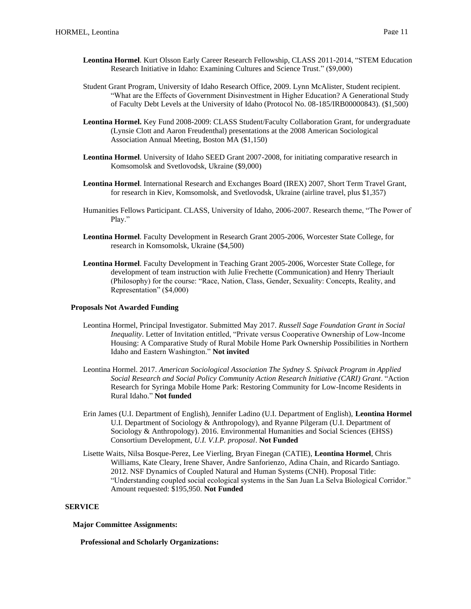- **Leontina Hormel**. Kurt Olsson Early Career Research Fellowship, CLASS 2011-2014, "STEM Education Research Initiative in Idaho: Examining Cultures and Science Trust." (\$9,000)
- Student Grant Program, University of Idaho Research Office, 2009. Lynn McAlister, Student recipient. "What are the Effects of Government Disinvestment in Higher Education? A Generational Study of Faculty Debt Levels at the University of Idaho (Protocol No. 08-185/IRB00000843). (\$1,500)
- **Leontina Hormel.** Key Fund 2008-2009: CLASS Student/Faculty Collaboration Grant, for undergraduate (Lynsie Clott and Aaron Freudenthal) presentations at the 2008 American Sociological Association Annual Meeting, Boston MA (\$1,150)
- **Leontina Hormel**. University of Idaho SEED Grant 2007-2008, for initiating comparative research in Komsomolsk and Svetlovodsk, Ukraine (\$9,000)
- **Leontina Hormel**. International Research and Exchanges Board (IREX) 2007, Short Term Travel Grant, for research in Kiev, Komsomolsk, and Svetlovodsk, Ukraine (airline travel, plus \$1,357)
- Humanities Fellows Participant. CLASS, University of Idaho, 2006-2007. Research theme, "The Power of Play."
- **Leontina Hormel**. Faculty Development in Research Grant 2005-2006, Worcester State College, for research in Komsomolsk, Ukraine (\$4,500)
- **Leontina Hormel**. Faculty Development in Teaching Grant 2005-2006, Worcester State College, for development of team instruction with Julie Frechette (Communication) and Henry Theriault (Philosophy) for the course: "Race, Nation, Class, Gender, Sexuality: Concepts, Reality, and Representation" (\$4,000)

## **Proposals Not Awarded Funding**

- Leontina Hormel, Principal Investigator. Submitted May 2017. *Russell Sage Foundation Grant in Social Inequality*. Letter of Invitation entitled, "Private versus Cooperative Ownership of Low-Income Housing: A Comparative Study of Rural Mobile Home Park Ownership Possibilities in Northern Idaho and Eastern Washington." **Not invited**
- Leontina Hormel. 2017. *American Sociological Association The Sydney S. Spivack Program in Applied Social Research and Social Policy Community Action Research Initiative (CARI) Grant*. "Action Research for Syringa Mobile Home Park: Restoring Community for Low-Income Residents in Rural Idaho." **Not funded**
- Erin James (U.I. Department of English), Jennifer Ladino (U.I. Department of English), **Leontina Hormel** U.I. Department of Sociology & Anthropology), and Ryanne Pilgeram (U.I. Department of Sociology & Anthropology). 2016. Environmental Humanities and Social Sciences (EHSS) Consortium Development, *U.I. V.I.P. proposal*. **Not Funded**
- Lisette Waits, Nilsa Bosque-Perez, Lee Vierling, Bryan Finegan (CATIE), **Leontina Hormel**, Chris Williams, Kate Cleary, Irene Shaver, Andre Sanforienzo, Adina Chain, and Ricardo Santiago. 2012. NSF Dynamics of Coupled Natural and Human Systems (CNH). Proposal Title: "Understanding coupled social ecological systems in the San Juan La Selva Biological Corridor." Amount requested: \$195,950. **Not Funded**

# **SERVICE**

## **Major Committee Assignments:**

 **Professional and Scholarly Organizations:**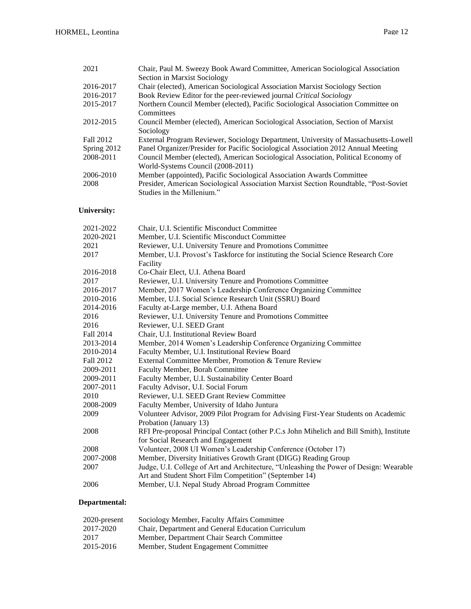| 2021        | Chair, Paul M. Sweezy Book Award Committee, American Sociological Association         |
|-------------|---------------------------------------------------------------------------------------|
|             | Section in Marxist Sociology                                                          |
| 2016-2017   | Chair (elected), American Sociological Association Marxist Sociology Section          |
| 2016-2017   | Book Review Editor for the peer-reviewed journal Critical Sociology                   |
| 2015-2017   | Northern Council Member (elected), Pacific Sociological Association Committee on      |
|             | Committees                                                                            |
| 2012-2015   | Council Member (elected), American Sociological Association, Section of Marxist       |
|             | Sociology                                                                             |
| Fall 2012   | External Program Reviewer, Sociology Department, University of Massachusetts-Lowell   |
| Spring 2012 | Panel Organizer/Presider for Pacific Sociological Association 2012 Annual Meeting     |
| 2008-2011   | Council Member (elected), American Sociological Association, Political Economy of     |
|             | World-Systems Council (2008-2011)                                                     |
| 2006-2010   | Member (appointed), Pacific Sociological Association Awards Committee                 |
| 2008        | Presider, American Sociological Association Marxist Section Roundtable, "Post-Soviet" |
|             | Studies in the Millenium."                                                            |

# **University:**

| 2021-2022 | Chair, U.I. Scientific Misconduct Committee                                              |
|-----------|------------------------------------------------------------------------------------------|
| 2020-2021 | Member, U.I. Scientific Misconduct Committee                                             |
| 2021      | Reviewer, U.I. University Tenure and Promotions Committee                                |
| 2017      | Member, U.I. Provost's Taskforce for instituting the Social Science Research Core        |
|           | Facility                                                                                 |
| 2016-2018 | Co-Chair Elect, U.I. Athena Board                                                        |
| 2017      | Reviewer, U.I. University Tenure and Promotions Committee                                |
| 2016-2017 | Member, 2017 Women's Leadership Conference Organizing Committee                          |
| 2010-2016 | Member, U.I. Social Science Research Unit (SSRU) Board                                   |
| 2014-2016 | Faculty at-Large member, U.I. Athena Board                                               |
| 2016      | Reviewer, U.I. University Tenure and Promotions Committee                                |
| 2016      | Reviewer, U.I. SEED Grant                                                                |
| Fall 2014 | Chair, U.I. Institutional Review Board                                                   |
| 2013-2014 | Member, 2014 Women's Leadership Conference Organizing Committee                          |
| 2010-2014 | Faculty Member, U.I. Institutional Review Board                                          |
| Fall 2012 | External Committee Member, Promotion & Tenure Review                                     |
| 2009-2011 | Faculty Member, Borah Committee                                                          |
| 2009-2011 | Faculty Member, U.I. Sustainability Center Board                                         |
| 2007-2011 | Faculty Advisor, U.I. Social Forum                                                       |
| 2010      | Reviewer, U.I. SEED Grant Review Committee                                               |
| 2008-2009 | Faculty Member, University of Idaho Juntura                                              |
| 2009      | Volunteer Advisor, 2009 Pilot Program for Advising First-Year Students on Academic       |
|           | Probation (January 13)                                                                   |
| 2008      | RFI Pre-proposal Principal Contact (other P.C.s John Mihelich and Bill Smith), Institute |
|           | for Social Research and Engagement                                                       |
| 2008      | Volunteer, 2008 UI Women's Leadership Conference (October 17)                            |
| 2007-2008 | Member, Diversity Initiatives Growth Grant (DIGG) Reading Group                          |
| 2007      | Judge, U.I. College of Art and Architecture, "Unleashing the Power of Design: Wearable   |
|           | Art and Student Short Film Competition" (September 14)                                   |
| 2006      | Member, U.I. Nepal Study Abroad Program Committee                                        |

# **Departmental:**

| 2020-present | Sociology Member, Faculty Affairs Committee        |
|--------------|----------------------------------------------------|
| 2017-2020    | Chair, Department and General Education Curriculum |
| 2017         | Member, Department Chair Search Committee          |
| 2015-2016    | Member, Student Engagement Committee               |